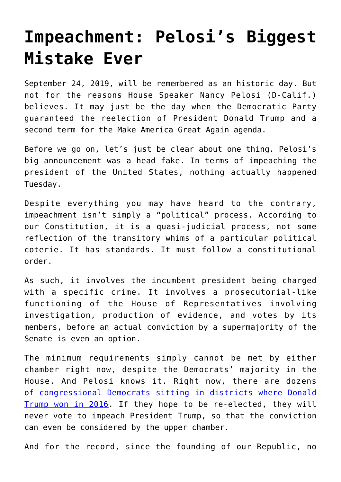## **[Impeachment: Pelosi's Biggest](https://intellectualtakeout.org/2019/09/impeachment-pelosis-biggest-mistake-ever/) [Mistake Ever](https://intellectualtakeout.org/2019/09/impeachment-pelosis-biggest-mistake-ever/)**

September 24, 2019, will be remembered as an historic day. But not for the reasons House Speaker Nancy Pelosi (D-Calif.) believes. It may just be the day when the Democratic Party guaranteed the reelection of President Donald Trump and a second term for the Make America Great Again agenda.

Before we go on, let's just be clear about one thing. Pelosi's big announcement was a head fake. In terms of impeaching the president of the United States, nothing actually happened Tuesday.

Despite everything you may have heard to the contrary, impeachment isn't simply a "political" process. According to our Constitution, it is a quasi-judicial process, not some reflection of the transitory whims of a particular political coterie. It has standards. It must follow a constitutional order.

As such, it involves the incumbent president being charged with a specific crime. It involves a prosecutorial-like functioning of the House of Representatives involving investigation, production of evidence, and votes by its members, before an actual conviction by a supermajority of the Senate is even an option.

The minimum requirements simply cannot be met by either chamber right now, despite the Democrats' majority in the House. And Pelosi knows it. Right now, there are dozens of [congressional Democrats sitting in districts where Donald](https://video.foxnews.com/v/6089220650001/?playlist_id=930909813001#sp=show-clips) [Trump won in 2016.](https://video.foxnews.com/v/6089220650001/?playlist_id=930909813001#sp=show-clips) If they hope to be re-elected, they will never vote to impeach President Trump, so that the conviction can even be considered by the upper chamber.

And for the record, since the founding of our Republic, no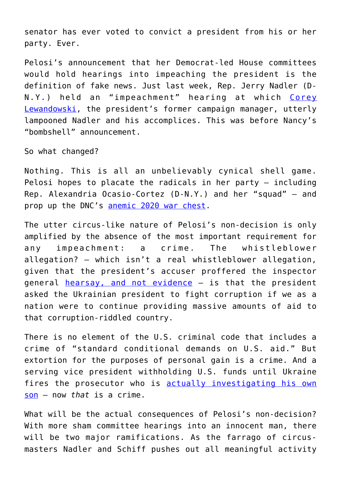senator has ever voted to convict a president from his or her party. Ever.

Pelosi's announcement that her Democrat-led House committees would hold hearings into impeaching the president is the definition of fake news. Just last week, Rep. Jerry Nadler (D-N.Y.) held an "impeachment" hearing at which [Corey](https://amgreatness.com/2019/09/18/lewandowskis-contempt-for-a-contemptible-congress/) [Lewandowski,](https://amgreatness.com/2019/09/18/lewandowskis-contempt-for-a-contemptible-congress/) the president's former campaign manager, utterly lampooned Nadler and his accomplices. This was before Nancy's "bombshell" announcement.

So what changed?

Nothing. This is all an unbelievably cynical shell game. Pelosi hopes to placate the radicals in her party – including Rep. Alexandria Ocasio-Cortez (D-N.Y.) and her "squad" – and prop up the DNC's [anemic 2020 war chest](https://www.foxnews.com/politics/rnc-fundraising-record-june-mcdaniel).

The utter circus-like nature of Pelosi's non-decision is only amplified by the absence of the most important requirement for any impeachment: a crime. The whistleblower allegation? – which isn't a real whistleblower allegation, given that the president's accuser proffered the inspector general [hearsay, and not evidence](https://dailycaller.com/2019/09/22/whistleblower-no-knowledge-trump-call-just-hearsay/) – is that the president asked the Ukrainian president to fight corruption if we as a nation were to continue providing massive amounts of aid to that corruption-riddled country.

There is no element of the U.S. criminal code that includes a crime of "standard conditional demands on U.S. aid." But extortion for the purposes of personal gain is a crime. And a serving vice president withholding U.S. funds until Ukraine fires the prosecutor who is **[actually investigating his own](https://thehill.com/opinion/white-house/436816-joe-bidens-2020-ukrainian-nightmare-a-closed-probe-is-revived)** [son](https://thehill.com/opinion/white-house/436816-joe-bidens-2020-ukrainian-nightmare-a-closed-probe-is-revived) – now *that* is a crime.

What will be the actual consequences of Pelosi's non-decision? With more sham committee hearings into an innocent man, there will be two major ramifications. As the farrago of circusmasters Nadler and Schiff pushes out all meaningful activity